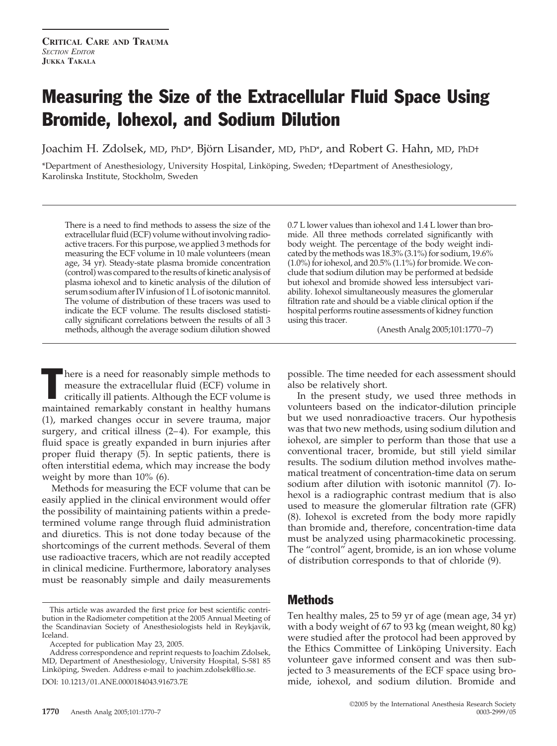# Measuring the Size of the Extracellular Fluid Space Using Bromide, Iohexol, and Sodium Dilution

Joachim H. Zdolsek, MD, PhD<sup>\*</sup>, Björn Lisander, MD, PhD<sup>\*</sup>, and Robert G. Hahn, MD, PhD<sup>+</sup>

\*Department of Anesthesiology, University Hospital, Linko¨ping, Sweden; †Department of Anesthesiology, Karolinska Institute, Stockholm, Sweden

There is a need to find methods to assess the size of the extracellular fluid (ECF) volume without involving radioactive tracers. For this purpose, we applied 3 methods for measuring the ECF volume in 10 male volunteers (mean age, 34 yr). Steady-state plasma bromide concentration (control) was compared to the results of kinetic analysis of plasma iohexol and to kinetic analysis of the dilution of serum sodium after IV infusion of  $1\,\mathrm{L}$  of isotonic mannitol. The volume of distribution of these tracers was used to indicate the ECF volume. The results disclosed statistically significant correlations between the results of all 3 methods, although the average sodium dilution showed

0.7 L lower values than iohexol and 1.4 L lower than bromide. All three methods correlated significantly with body weight. The percentage of the body weight indicated by the methods was 18.3% (3.1%) for sodium, 19.6% (1.0%) for iohexol, and 20.5% (1.1%) for bromide. We conclude that sodium dilution may be performed at bedside but iohexol and bromide showed less intersubject variability. Iohexol simultaneously measures the glomerular filtration rate and should be a viable clinical option if the hospital performs routine assessments of kidney function using this tracer.

(Anesth Analg 2005;101:1770 –7)

There is a need for reasonably simple methods to measure the extracellular fluid (ECF) volume in critically ill patients. Although the ECF volume is measure the extracellular fluid (ECF) volume in maintained remarkably constant in healthy humans (1), marked changes occur in severe trauma, major surgery, and critical illness  $(2-4)$ . For example, this fluid space is greatly expanded in burn injuries after proper fluid therapy (5). In septic patients, there is often interstitial edema, which may increase the body weight by more than 10% (6).

Methods for measuring the ECF volume that can be easily applied in the clinical environment would offer the possibility of maintaining patients within a predetermined volume range through fluid administration and diuretics. This is not done today because of the shortcomings of the current methods. Several of them use radioactive tracers, which are not readily accepted in clinical medicine. Furthermore, laboratory analyses must be reasonably simple and daily measurements

DOI: 10.1213/01.ANE.0000184043.91673.7E

possible. The time needed for each assessment should also be relatively short.

In the present study, we used three methods in volunteers based on the indicator-dilution principle but we used nonradioactive tracers. Our hypothesis was that two new methods, using sodium dilution and iohexol, are simpler to perform than those that use a conventional tracer, bromide, but still yield similar results. The sodium dilution method involves mathematical treatment of concentration-time data on serum sodium after dilution with isotonic mannitol (7). Iohexol is a radiographic contrast medium that is also used to measure the glomerular filtration rate (GFR) (8). Iohexol is excreted from the body more rapidly than bromide and, therefore, concentration-time data must be analyzed using pharmacokinetic processing. The "control" agent, bromide, is an ion whose volume of distribution corresponds to that of chloride (9).

## **Methods**

Ten healthy males, 25 to 59 yr of age (mean age, 34 yr) with a body weight of 67 to 93 kg (mean weight, 80 kg) were studied after the protocol had been approved by the Ethics Committee of Linköping University. Each volunteer gave informed consent and was then subjected to 3 measurements of the ECF space using bromide, iohexol, and sodium dilution. Bromide and

This article was awarded the first price for best scientific contribution in the Radiometer competition at the 2005 Annual Meeting of the Scandinavian Society of Anesthesiologists held in Reykjavik, Iceland.

Accepted for publication May 23, 2005.

Address correspondence and reprint requests to Joachim Zdolsek, MD, Department of Anesthesiology, University Hospital, S-581 85 Linköping, Sweden. Address e-mail to joachim.zdolsek@lio.se.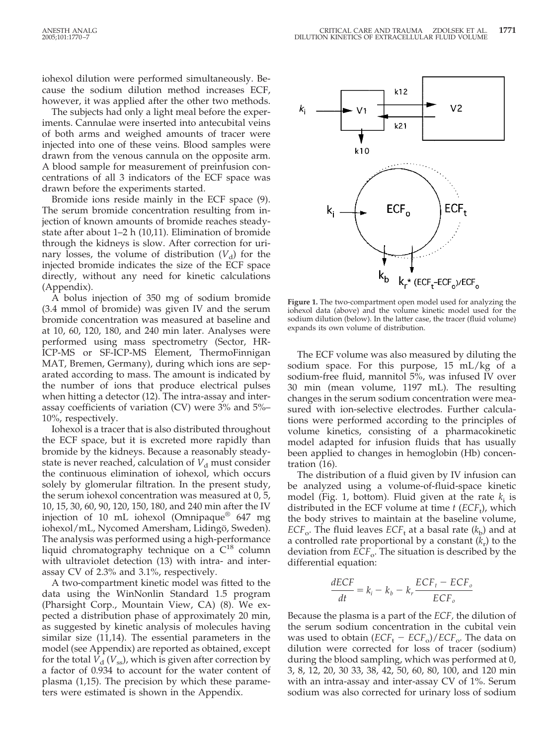iohexol dilution were performed simultaneously. Because the sodium dilution method increases ECF, however, it was applied after the other two methods.

The subjects had only a light meal before the experiments. Cannulae were inserted into antecubital veins of both arms and weighed amounts of tracer were injected into one of these veins. Blood samples were drawn from the venous cannula on the opposite arm. A blood sample for measurement of preinfusion concentrations of all 3 indicators of the ECF space was drawn before the experiments started.

Bromide ions reside mainly in the ECF space (9). The serum bromide concentration resulting from injection of known amounts of bromide reaches steadystate after about 1–2 h (10,11). Elimination of bromide through the kidneys is slow. After correction for urinary losses, the volume of distribution  $(V_d)$  for the injected bromide indicates the size of the ECF space directly, without any need for kinetic calculations (Appendix).

A bolus injection of 350 mg of sodium bromide (3.4 mmol of bromide) was given IV and the serum bromide concentration was measured at baseline and at 10, 60, 120, 180, and 240 min later. Analyses were performed using mass spectrometry (Sector, HR-ICP-MS or SF-ICP-MS Element, ThermoFinnigan MAT, Bremen, Germany), during which ions are separated according to mass. The amount is indicated by the number of ions that produce electrical pulses when hitting a detector (12). The intra-assay and interassay coefficients of variation (CV) were 3% and 5%– 10%, respectively.

Iohexol is a tracer that is also distributed throughout the ECF space, but it is excreted more rapidly than bromide by the kidneys. Because a reasonably steadystate is never reached, calculation of  $V<sub>d</sub>$  must consider the continuous elimination of iohexol, which occurs solely by glomerular filtration. In the present study, the serum iohexol concentration was measured at 0, 5, 10, 15, 30, 60, 90, 120, 150, 180, and 240 min after the IV injection of 10 mL iohexol (Omnipaque® 647 mg iohexol/mL, Nycomed Amersham, Lidingö, Sweden). The analysis was performed using a high-performance liquid chromatography technique on a  $C^{18}$  column with ultraviolet detection (13) with intra- and interassay CV of 2.3% and 3.1%, respectively.

A two-compartment kinetic model was fitted to the data using the WinNonlin Standard 1.5 program (Pharsight Corp., Mountain View, CA) (8). We expected a distribution phase of approximately 20 min, as suggested by kinetic analysis of molecules having similar size (11,14). The essential parameters in the model (see Appendix) are reported as obtained, except for the total  $V_d$  ( $V_{ss}$ ), which is given after correction by a factor of 0.934 to account for the water content of plasma (1,15). The precision by which these parameters were estimated is shown in the Appendix.



**Figure 1.** The two-compartment open model used for analyzing the iohexol data (above) and the volume kinetic model used for the sodium dilution (below). In the latter case, the tracer (fluid volume) expands its own volume of distribution.

The ECF volume was also measured by diluting the sodium space. For this purpose, 15 mL/kg of a sodium-free fluid, mannitol 5%, was infused IV over 30 min (mean volume, 1197 mL). The resulting changes in the serum sodium concentration were measured with ion-selective electrodes. Further calculations were performed according to the principles of volume kinetics, consisting of a pharmacokinetic model adapted for infusion fluids that has usually been applied to changes in hemoglobin (Hb) concentration (16).

The distribution of a fluid given by IV infusion can be analyzed using a volume-of-fluid-space kinetic model (Fig. 1, bottom). Fluid given at the rate  $k_i$  is distributed in the ECF volume at time  $t$  ( $ECF<sub>t</sub>$ ), which the body strives to maintain at the baseline volume,  $ECF_{o}$ . The fluid leaves  $ECF_{t}$  at a basal rate ( $k_{b}$ ) and at a controlled rate proportional by a constant  $(k<sub>r</sub>)$  to the deviation from *ECF*<sub>o</sub>. The situation is described by the differential equation:

$$
\frac{dECF}{dt} = k_i - k_b - k_r \frac{ECF_t - ECF_o}{ECF_o}
$$

Because the plasma is a part of the *ECF,* the dilution of the serum sodium concentration in the cubital vein was used to obtain  $(ECF_t - ECF_o)/ECF_o$ . The data on dilution were corrected for loss of tracer (sodium) during the blood sampling, which was performed at 0, 3, 8, 12, 20, 30 33, 38, 42, 50, 60, 80, 100, and 120 min with an intra-assay and inter-assay CV of 1%. Serum sodium was also corrected for urinary loss of sodium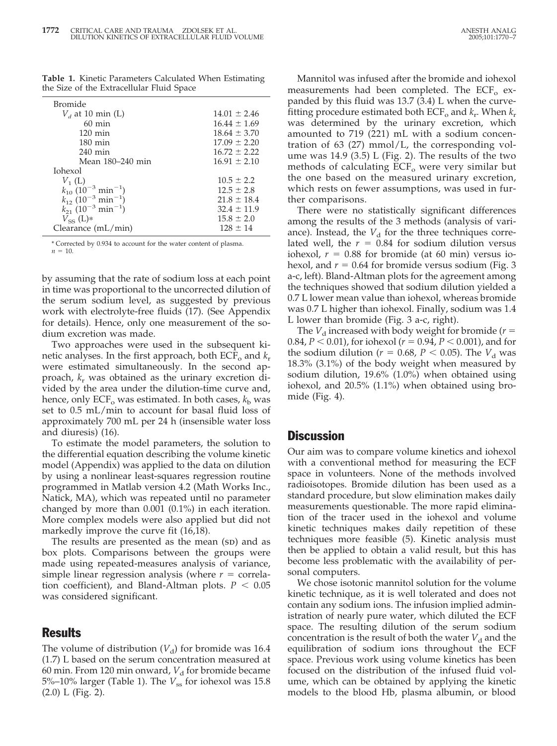**Table 1.** Kinetic Parameters Calculated When Estimating the Size of the Extracellular Fluid Space

| <b>Bromide</b>                                 |                  |
|------------------------------------------------|------------------|
| $V_d$ at 10 min (L)                            | $14.01 \pm 2.46$ |
| $60 \text{ min}$                               | $16.44 + 1.69$   |
| $120 \text{ min}$                              | $18.64 \pm 3.70$ |
| $180 \text{ min}$                              | $17.09 \pm 2.20$ |
| $240 \text{ min}$                              | $16.72 + 2.22$   |
| Mean 180–240 min                               | $16.91 \pm 2.10$ |
| <b>Iohexol</b>                                 |                  |
| $V_1(L)$                                       | $10.5 \pm 2.2$   |
| $k_{10}$ (10 <sup>-3</sup> min <sup>-1</sup> ) | $12.5 \pm 2.8$   |
| $k_{12}$ (10 <sup>-3</sup> min <sup>-1</sup> ) | $21.8 + 18.4$    |
| $k_{21}$ (10 <sup>-3</sup> min <sup>-1</sup> ) | $32.4 \pm 11.9$  |
| $V_{\rm cc}$ (L)*                              | $15.8 + 2.0$     |
| Clearance $(mL/min)$                           | $128 \pm 14$     |
|                                                |                  |

\* Corrected by 0.934 to account for the water content of plasma.  $n = 10$ .

by assuming that the rate of sodium loss at each point in time was proportional to the uncorrected dilution of the serum sodium level, as suggested by previous work with electrolyte-free fluids (17). (See Appendix for details). Hence, only one measurement of the sodium excretion was made.

Two approaches were used in the subsequent kinetic analyses. In the first approach, both  $ECF_0$  and  $k_r$ were estimated simultaneously. In the second approach,  $k_r$  was obtained as the urinary excretion divided by the area under the dilution-time curve and, hence, only  $ECF_0$  was estimated. In both cases,  $k_b$  was set to 0.5 mL/min to account for basal fluid loss of approximately 700 mL per 24 h (insensible water loss and diuresis) (16).

To estimate the model parameters, the solution to the differential equation describing the volume kinetic model (Appendix) was applied to the data on dilution by using a nonlinear least-squares regression routine programmed in Matlab version 4.2 (Math Works Inc., Natick, MA), which was repeated until no parameter changed by more than 0.001 (0.1%) in each iteration. More complex models were also applied but did not markedly improve the curve fit (16,18).

The results are presented as the mean (sp) and as box plots. Comparisons between the groups were made using repeated-measures analysis of variance,  $simple$  linear regression analysis (where  $r = correla$ tion coefficient), and Bland-Altman plots.  $P < 0.05$ was considered significant.

# **Results**

The volume of distribution  $(V_d)$  for bromide was 16.4 (1.7) L based on the serum concentration measured at 60 min. From 120 min onward,  $V<sub>d</sub>$  for bromide became 5%–10% larger (Table 1). The  $V_{ss}$  for iohexol was 15.8 (2.0) L (Fig. 2).

Mannitol was infused after the bromide and iohexol measurements had been completed. The ECF<sub>o</sub> expanded by this fluid was 13.7 (3.4) L when the curvefitting procedure estimated both  $ECF_0$  and  $k_r$ . When  $k_r$ was determined by the urinary excretion, which amounted to 719 (221) mL with a sodium concentration of 63 (27) mmol/L, the corresponding volume was 14.9 (3.5) L (Fig. 2). The results of the two methods of calculating  $ECF_0$  were very similar but the one based on the measured urinary excretion, which rests on fewer assumptions, was used in further comparisons.

There were no statistically significant differences among the results of the 3 methods (analysis of variance). Instead, the  $V<sub>d</sub>$  for the three techniques correlated well, the  $r = 0.84$  for sodium dilution versus iohexol,  $r = 0.88$  for bromide (at 60 min) versus iohexol, and  $r = 0.64$  for bromide versus sodium (Fig. 3) a-c, left). Bland-Altman plots for the agreement among the techniques showed that sodium dilution yielded a 0.7 L lower mean value than iohexol, whereas bromide was 0.7 L higher than iohexol. Finally, sodium was 1.4 L lower than bromide (Fig. 3 a-c, right).

The  $V_d$  increased with body weight for bromide ( $r =$  $0.84$ ,  $P < 0.01$ ), for iohexol ( $r = 0.94$ ,  $P < 0.001$ ), and for the sodium dilution ( $r = 0.68$ ,  $P < 0.05$ ). The  $V<sub>d</sub>$  was 18.3% (3.1%) of the body weight when measured by sodium dilution, 19.6% (1.0%) when obtained using iohexol, and 20.5% (1.1%) when obtained using bromide (Fig. 4).

## **Discussion**

Our aim was to compare volume kinetics and iohexol with a conventional method for measuring the ECF space in volunteers. None of the methods involved radioisotopes. Bromide dilution has been used as a standard procedure, but slow elimination makes daily measurements questionable. The more rapid elimination of the tracer used in the iohexol and volume kinetic techniques makes daily repetition of these techniques more feasible (5). Kinetic analysis must then be applied to obtain a valid result, but this has become less problematic with the availability of personal computers.

We chose isotonic mannitol solution for the volume kinetic technique, as it is well tolerated and does not contain any sodium ions. The infusion implied administration of nearly pure water, which diluted the ECF space. The resulting dilution of the serum sodium concentration is the result of both the water  $V_d$  and the equilibration of sodium ions throughout the ECF space. Previous work using volume kinetics has been focused on the distribution of the infused fluid volume, which can be obtained by applying the kinetic models to the blood Hb, plasma albumin, or blood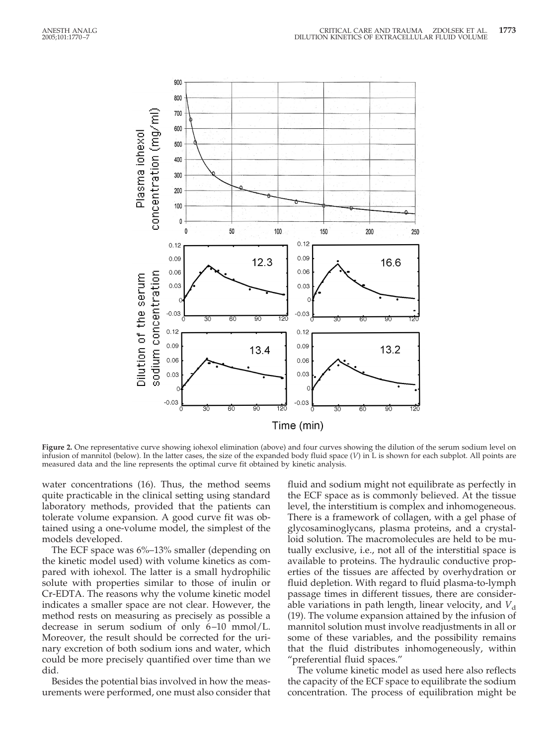

**Figure 2.** One representative curve showing iohexol elimination (above) and four curves showing the dilution of the serum sodium level on infusion of mannitol (below). In the latter cases, the size of the expanded body fluid space (*V*) in L is shown for each subplot. All points are measured data and the line represents the optimal curve fit obtained by kinetic analysis.

water concentrations (16). Thus, the method seems quite practicable in the clinical setting using standard laboratory methods, provided that the patients can tolerate volume expansion. A good curve fit was obtained using a one-volume model, the simplest of the models developed.

The ECF space was 6%–13% smaller (depending on the kinetic model used) with volume kinetics as compared with iohexol. The latter is a small hydrophilic solute with properties similar to those of inulin or Cr-EDTA. The reasons why the volume kinetic model indicates a smaller space are not clear. However, the method rests on measuring as precisely as possible a decrease in serum sodium of only 6-10 mmol/L. Moreover, the result should be corrected for the urinary excretion of both sodium ions and water, which could be more precisely quantified over time than we did.

Besides the potential bias involved in how the measurements were performed, one must also consider that fluid and sodium might not equilibrate as perfectly in the ECF space as is commonly believed. At the tissue level, the interstitium is complex and inhomogeneous. There is a framework of collagen, with a gel phase of glycosaminoglycans, plasma proteins, and a crystalloid solution. The macromolecules are held to be mutually exclusive, i.e., not all of the interstitial space is available to proteins. The hydraulic conductive properties of the tissues are affected by overhydration or fluid depletion. With regard to fluid plasma-to-lymph passage times in different tissues, there are considerable variations in path length, linear velocity, and  $V<sub>d</sub>$ (19). The volume expansion attained by the infusion of mannitol solution must involve readjustments in all or some of these variables, and the possibility remains that the fluid distributes inhomogeneously, within "preferential fluid spaces."

The volume kinetic model as used here also reflects the capacity of the ECF space to equilibrate the sodium concentration. The process of equilibration might be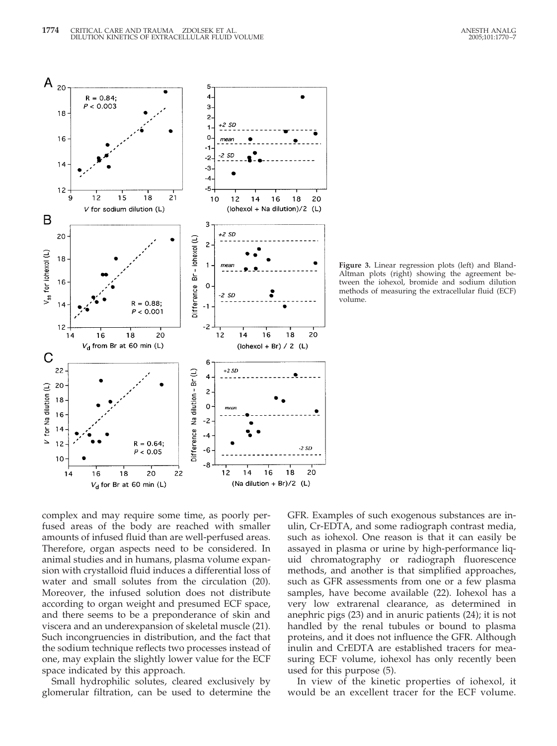

**Figure 3.** Linear regression plots (left) and Bland-Altman plots (right) showing the agreement between the iohexol, bromide and sodium dilution methods of measuring the extracellular fluid (ECF) volume.

complex and may require some time, as poorly perfused areas of the body are reached with smaller amounts of infused fluid than are well-perfused areas. Therefore, organ aspects need to be considered. In animal studies and in humans, plasma volume expansion with crystalloid fluid induces a differential loss of water and small solutes from the circulation (20). Moreover, the infused solution does not distribute according to organ weight and presumed ECF space, and there seems to be a preponderance of skin and viscera and an underexpansion of skeletal muscle (21). Such incongruencies in distribution, and the fact that the sodium technique reflects two processes instead of one, may explain the slightly lower value for the ECF space indicated by this approach.

Small hydrophilic solutes, cleared exclusively by glomerular filtration, can be used to determine the GFR. Examples of such exogenous substances are inulin, Cr-EDTA, and some radiograph contrast media, such as iohexol. One reason is that it can easily be assayed in plasma or urine by high-performance liquid chromatography or radiograph fluorescence methods, and another is that simplified approaches, such as GFR assessments from one or a few plasma samples, have become available (22). Iohexol has a very low extrarenal clearance, as determined in anephric pigs (23) and in anuric patients (24); it is not handled by the renal tubules or bound to plasma proteins, and it does not influence the GFR. Although inulin and CrEDTA are established tracers for measuring ECF volume, iohexol has only recently been used for this purpose (5).

In view of the kinetic properties of iohexol, it would be an excellent tracer for the ECF volume.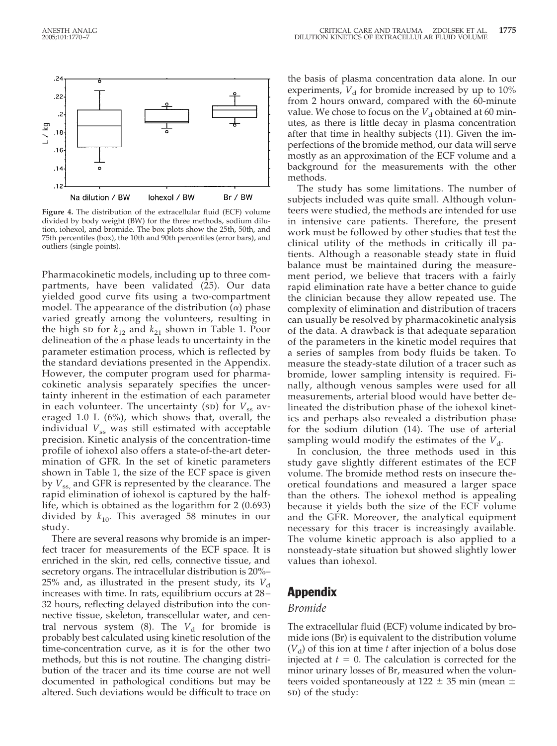

**Figure 4.** The distribution of the extracellular fluid (ECF) volume divided by body weight (BW) for the three methods, sodium dilution, iohexol, and bromide. The box plots show the 25th, 50th, and 75th percentiles (box), the 10th and 90th percentiles (error bars), and outliers (single points).

Pharmacokinetic models, including up to three compartments, have been validated (25). Our data yielded good curve fits using a two-compartment model. The appearance of the distribution  $(\alpha)$  phase varied greatly among the volunteers, resulting in the high sp for  $k_{12}$  and  $k_{21}$  shown in Table 1. Poor delineation of the  $\alpha$  phase leads to uncertainty in the parameter estimation process, which is reflected by the standard deviations presented in the Appendix. However, the computer program used for pharmacokinetic analysis separately specifies the uncertainty inherent in the estimation of each parameter in each volunteer. The uncertainty (sp) for  $V_{ss}$  averaged 1.0 L  $(6%)$ , which shows that, overall, the individual  $V_{ss}$  was still estimated with acceptable precision. Kinetic analysis of the concentration-time profile of iohexol also offers a state-of-the-art determination of GFR. In the set of kinetic parameters shown in Table 1, the size of the ECF space is given by  $V_{ss}$  and GFR is represented by the clearance. The rapid elimination of iohexol is captured by the halflife, which is obtained as the logarithm for 2 (0.693) divided by  $k_{10}$ . This averaged 58 minutes in our study.

There are several reasons why bromide is an imperfect tracer for measurements of the ECF space. It is enriched in the skin, red cells, connective tissue, and secretory organs. The intracellular distribution is 20%– 25% and, as illustrated in the present study, its  $V_d$ increases with time. In rats, equilibrium occurs at 28 – 32 hours, reflecting delayed distribution into the connective tissue, skeleton, transcellular water, and central nervous system (8). The  $V_d$  for bromide is probably best calculated using kinetic resolution of the time-concentration curve, as it is for the other two methods, but this is not routine. The changing distribution of the tracer and its time course are not well documented in pathological conditions but may be altered. Such deviations would be difficult to trace on the basis of plasma concentration data alone. In our experiments,  $V_d$  for bromide increased by up to  $10\%$ from 2 hours onward, compared with the 60-minute value. We chose to focus on the  $V_d$  obtained at 60 minutes, as there is little decay in plasma concentration after that time in healthy subjects (11). Given the imperfections of the bromide method, our data will serve mostly as an approximation of the ECF volume and a background for the measurements with the other methods.

The study has some limitations. The number of subjects included was quite small. Although volunteers were studied, the methods are intended for use in intensive care patients. Therefore, the present work must be followed by other studies that test the clinical utility of the methods in critically ill patients. Although a reasonable steady state in fluid balance must be maintained during the measurement period, we believe that tracers with a fairly rapid elimination rate have a better chance to guide the clinician because they allow repeated use. The complexity of elimination and distribution of tracers can usually be resolved by pharmacokinetic analysis of the data. A drawback is that adequate separation of the parameters in the kinetic model requires that a series of samples from body fluids be taken. To measure the steady-state dilution of a tracer such as bromide, lower sampling intensity is required. Finally, although venous samples were used for all measurements, arterial blood would have better delineated the distribution phase of the iohexol kinetics and perhaps also revealed a distribution phase for the sodium dilution (14). The use of arterial sampling would modify the estimates of the  $V<sub>d</sub>$ .

In conclusion, the three methods used in this study gave slightly different estimates of the ECF volume. The bromide method rests on insecure theoretical foundations and measured a larger space than the others. The iohexol method is appealing because it yields both the size of the ECF volume and the GFR. Moreover, the analytical equipment necessary for this tracer is increasingly available. The volume kinetic approach is also applied to a nonsteady-state situation but showed slightly lower values than iohexol.

## Appendix

#### *Bromide*

The extracellular fluid (ECF) volume indicated by bromide ions (Br) is equivalent to the distribution volume  $(V_d)$  of this ion at time *t* after injection of a bolus dose injected at  $t = 0$ . The calculation is corrected for the minor urinary losses of Br, measured when the volunteers voided spontaneously at 122  $\pm$  35 min (mean  $\pm$ sp) of the study: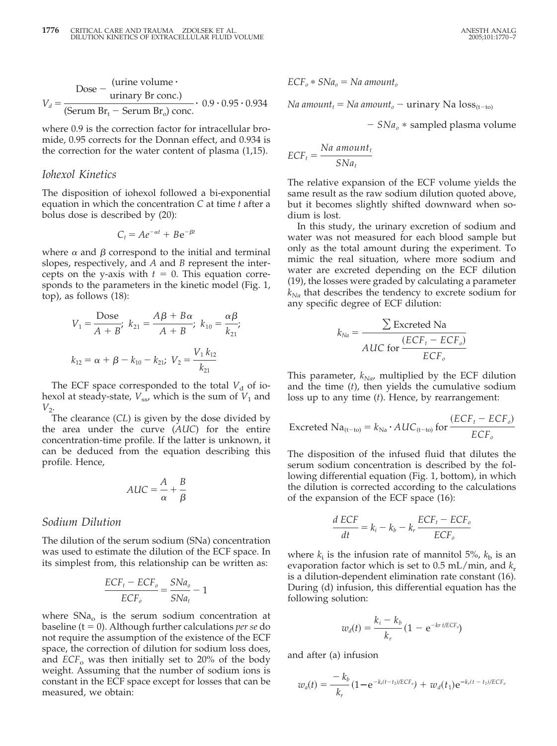$$
V_d = \frac{\text{Dose} - (\text{urine volume} \cdot \text{urinary Br conc.})}{(\text{Serum Br}_t - \text{Serum Br}_0) \text{ conc.}} \cdot 0.9 \cdot 0.95 \cdot 0.934
$$

where 0.9 is the correction factor for intracellular bromide, 0.95 corrects for the Donnan effect, and 0.934 is the correction for the water content of plasma (1,15).

#### *Iohexol Kinetics*

The disposition of iohexol followed a bi-exponential equation in which the concentration *C* at time *t* after a bolus dose is described by (20):

$$
C_t = Ae^{-\alpha t} + Be^{-\beta t}
$$

where  $\alpha$  and  $\beta$  correspond to the initial and terminal slopes, respectively, and *A* and *B* represent the intercepts on the y-axis with  $t = 0$ . This equation corresponds to the parameters in the kinetic model (Fig. 1, top), as follows (18):

$$
V_1 = \frac{\text{Dose}}{A + B}; \ k_{21} = \frac{A\beta + B\alpha}{A + B}; \ k_{10} = \frac{\alpha\beta}{k_{21}};
$$

$$
k_{12} = \alpha + \beta - k_{10} - k_{21}; \ V_2 = \frac{V_1 k_{12}}{k_{21}}
$$

The ECF space corresponded to the total  $V_d$  of iohexol at steady-state,  $V_{ss}$ , which is the sum of  $V_1$  and  $V_{2}$ .

The clearance (*CL*) is given by the dose divided by the area under the curve (*AUC*) for the entire concentration-time profile. If the latter is unknown, it can be deduced from the equation describing this profile. Hence,

$$
AUC = \frac{A}{\alpha} + \frac{B}{\beta}
$$

#### *Sodium Dilution*

The dilution of the serum sodium (SNa) concentration was used to estimate the dilution of the ECF space. In its simplest from, this relationship can be written as:

$$
\frac{ECF_t - ECF_o}{ECF_o} = \frac{SNa_o}{SNa_t} - 1
$$

where  $\text{S} \text{Na}_\text{o}$  is the serum sodium concentration at baseline (t - 0). Although further calculations *per se* do not require the assumption of the existence of the ECF space, the correction of dilution for sodium loss does, and  $ECF<sub>o</sub>$  was then initially set to 20% of the body weight. Assuming that the number of sodium ions is constant in the ECF space except for losses that can be measured, we obtain:

 $ECF_{o} * SNa_{o} = Na$  amount<sub>o</sub>

$$
Na\ amount_{t} = Na\ amount_{o} - \text{urinary Na}\ loss_{\text{(t-to)}}
$$

-  $SNa<sub>o</sub> * sampled plasma volume$ 

$$
ECF_t = \frac{Na\ amount_t}{SNa_t}
$$

The relative expansion of the ECF volume yields the same result as the raw sodium dilution quoted above, but it becomes slightly shifted downward when sodium is lost.

In this study, the urinary excretion of sodium and water was not measured for each blood sample but only as the total amount during the experiment. To mimic the real situation, where more sodium and water are excreted depending on the ECF dilution (19), the losses were graded by calculating a parameter  $k_{Na}$  that describes the tendency to excrete sodium for any specific degree of ECF dilution:

$$
k_{Na} = \frac{\sum \text{Excreted Na}}{AUC \text{ for } \frac{(ECF_t - ECF_o)}{ECF_o}}
$$

This parameter,  $k_{Na}$ , multiplied by the ECF dilution and the time (*t*), then yields the cumulative sodium loss up to any time (*t*). Hence, by rearrangement:

$$
\text{Excreted } \text{Na}_{\text{(t-to)}} = k_{\text{Na}} \cdot \text{AUC}_{\text{(t-to)}} \text{ for } \frac{(\text{ECF}_{t} - \text{ECF}_{o})}{\text{ECF}_{o}}
$$

The disposition of the infused fluid that dilutes the serum sodium concentration is described by the following differential equation (Fig. 1, bottom), in which the dilution is corrected according to the calculations of the expansion of the ECF space (16):

$$
\frac{d \, ECF}{dt} = k_i - k_b - k_r \frac{ECF_t - ECF_o}{ECF_o}
$$

where  $k_i$  is the infusion rate of mannitol 5%,  $k_b$  is an evaporation factor which is set to  $0.5$  mL/min, and  $k_r$ is a dilution-dependent elimination rate constant (16). During (d) infusion, this differential equation has the following solution:

$$
w_d(t) = \frac{k_i - k_b}{k_r} (1 - e^{-kr t/ECF_o})
$$

and after (a) infusion

$$
w_a(t) = \frac{-k_b}{k_r} (1 - e^{-k_r(t - t_1)/ECF_o}) + w_a(t_1) e^{-k_r(t - t_1)/ECF_o}
$$